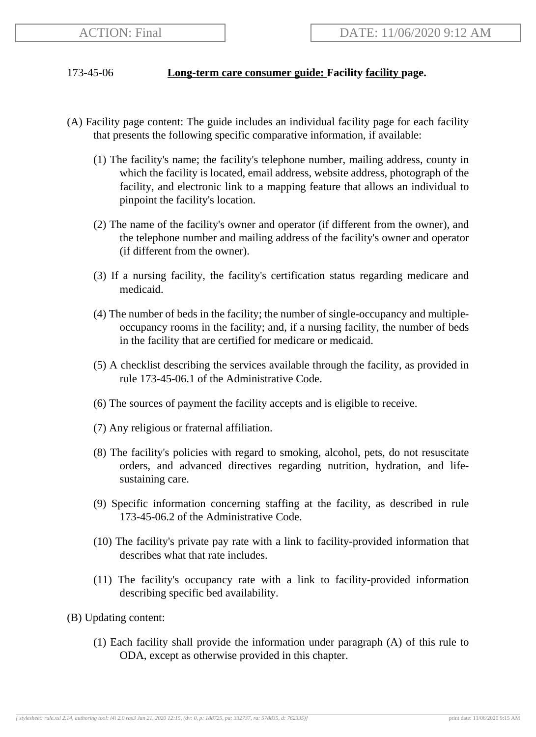## 173-45-06 **Long-term care consumer guide: Facility facility page.**

- (A) Facility page content: The guide includes an individual facility page for each facility that presents the following specific comparative information, if available:
	- (1) The facility's name; the facility's telephone number, mailing address, county in which the facility is located, email address, website address, photograph of the facility, and electronic link to a mapping feature that allows an individual to pinpoint the facility's location.
	- (2) The name of the facility's owner and operator (if different from the owner), and the telephone number and mailing address of the facility's owner and operator (if different from the owner).
	- (3) If a nursing facility, the facility's certification status regarding medicare and medicaid.
	- (4) The number of beds in the facility; the number of single-occupancy and multipleoccupancy rooms in the facility; and, if a nursing facility, the number of beds in the facility that are certified for medicare or medicaid.
	- (5) A checklist describing the services available through the facility, as provided in rule 173-45-06.1 of the Administrative Code.
	- (6) The sources of payment the facility accepts and is eligible to receive.
	- (7) Any religious or fraternal affiliation.
	- (8) The facility's policies with regard to smoking, alcohol, pets, do not resuscitate orders, and advanced directives regarding nutrition, hydration, and lifesustaining care.
	- (9) Specific information concerning staffing at the facility, as described in rule 173-45-06.2 of the Administrative Code.
	- (10) The facility's private pay rate with a link to facility-provided information that describes what that rate includes.
	- (11) The facility's occupancy rate with a link to facility-provided information describing specific bed availability.
- (B) Updating content:
	- (1) Each facility shall provide the information under paragraph (A) of this rule to ODA, except as otherwise provided in this chapter.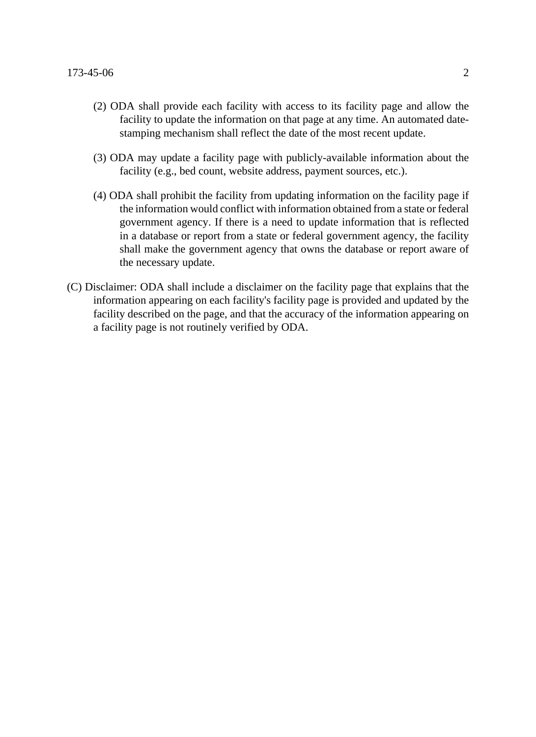- (2) ODA shall provide each facility with access to its facility page and allow the facility to update the information on that page at any time. An automated datestamping mechanism shall reflect the date of the most recent update.
- (3) ODA may update a facility page with publicly-available information about the facility (e.g., bed count, website address, payment sources, etc.).
- (4) ODA shall prohibit the facility from updating information on the facility page if the information would conflict with information obtained from a state or federal government agency. If there is a need to update information that is reflected in a database or report from a state or federal government agency, the facility shall make the government agency that owns the database or report aware of the necessary update.
- (C) Disclaimer: ODA shall include a disclaimer on the facility page that explains that the information appearing on each facility's facility page is provided and updated by the facility described on the page, and that the accuracy of the information appearing on a facility page is not routinely verified by ODA.